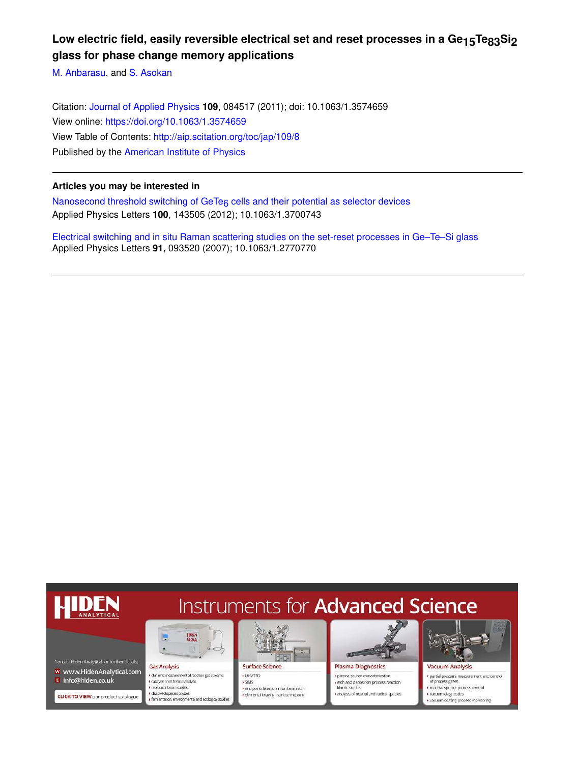# Low electric field, easily reversible electrical set and reset processes in a Ge<sub>15</sub>Te<sub>83</sub>Si<sub>2</sub> **glass for phase change memory applications**

M. Anbarasu, and S. Asokan

Citation: Journal of Applied Physics **109**, 084517 (2011); doi: 10.1063/1.3574659 View online: https://doi.org/10.1063/1.3574659 View Table of Contents: http://aip.scitation.org/toc/jap/109/8 Published by the American Institute of Physics

# **Articles you may be interested in**

Nanosecond threshold switching of GeTe<sub>6</sub> cells and their potential as selector devices Applied Physics Letters **100**, 143505 (2012); 10.1063/1.3700743

Electrical switching and in situ Raman scattering studies on the set-reset processes in Ge–Te–Si glass Applied Physics Letters **91**, 093520 (2007); 10.1063/1.2770770

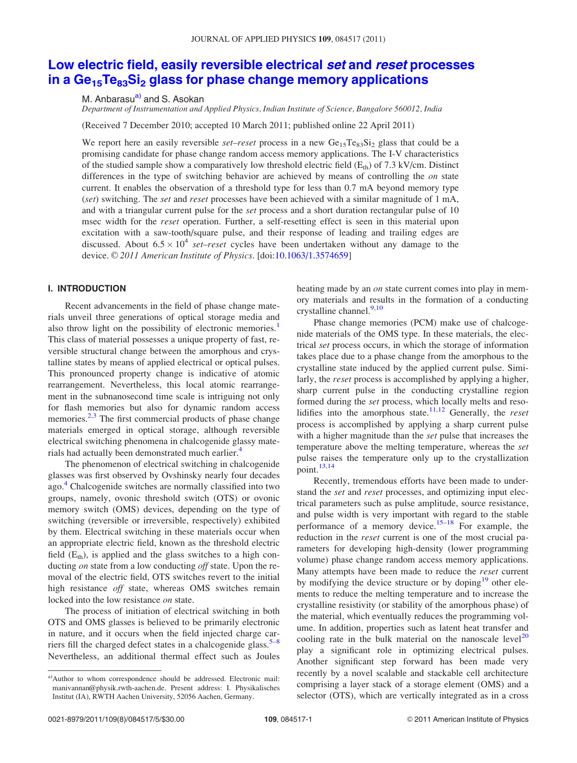# Low electric field, easily reversible electrical set and reset processes in a  $Ge_{15}Te_{83}Si_2$  glass for phase change memory applications

M. Anbarasu<sup>a)</sup> and S. Asokan

Department of Instrumentation and Applied Physics, Indian Institute of Science, Bangalore 560012, India

(Received 7 December 2010; accepted 10 March 2011; published online 22 April 2011)

We report here an easily reversible *set–reset* process in a new  $Ge<sub>15</sub>Te<sub>83</sub>Si<sub>2</sub>$  glass that could be a promising candidate for phase change random access memory applications. The I-V characteristics of the studied sample show a comparatively low threshold electric field  $(E<sub>th</sub>)$  of 7.3 kV/cm. Distinct differences in the type of switching behavior are achieved by means of controlling the on state current. It enables the observation of a threshold type for less than 0.7 mA beyond memory type (set) switching. The set and reset processes have been achieved with a similar magnitude of 1 mA, and with a triangular current pulse for the set process and a short duration rectangular pulse of 10 msec width for the *reset* operation. Further, a self-resetting effect is seen in this material upon excitation with a saw-tooth/square pulse, and their response of leading and trailing edges are discussed. About  $6.5 \times 10^4$  set–reset cycles have been undertaken without any damage to the device. © 2011 American Institute of Physics. [doi:10.1063/1.3574659]

# I. INTRODUCTION

Recent advancements in the field of phase change materials unveil three generations of optical storage media and also throw light on the possibility of electronic memories.<sup>1</sup> This class of material possesses a unique property of fast, reversible structural change between the amorphous and crystalline states by means of applied electrical or optical pulses. This pronounced property change is indicative of atomic rearrangement. Nevertheless, this local atomic rearrangement in the subnanosecond time scale is intriguing not only for flash memories but also for dynamic random access memories.<sup>2,3</sup> The first commercial products of phase change materials emerged in optical storage, although reversible electrical switching phenomena in chalcogenide glassy materials had actually been demonstrated much earlier.<sup>4</sup>

The phenomenon of electrical switching in chalcogenide glasses was first observed by Ovshinsky nearly four decades ago.<sup>4</sup> Chalcogenide switches are normally classified into two groups, namely, ovonic threshold switch (OTS) or ovonic memory switch (OMS) devices, depending on the type of switching (reversible or irreversible, respectively) exhibited by them. Electrical switching in these materials occur when an appropriate electric field, known as the threshold electric field  $(E<sub>th</sub>)$ , is applied and the glass switches to a high conducting on state from a low conducting off state. Upon the removal of the electric field, OTS switches revert to the initial high resistance off state, whereas OMS switches remain locked into the low resistance *on* state.

The process of initiation of electrical switching in both OTS and OMS glasses is believed to be primarily electronic in nature, and it occurs when the field injected charge carriers fill the charged defect states in a chalcogenide glass. $5-8$ Nevertheless, an additional thermal effect such as Joules

a)Author to whom correspondence should be addressed. Electronic mail: manivannan@physik.rwth-aachen.de. Present address: I. Physikalisches Institut (IA), RWTH Aachen University, 52056 Aachen, Germany.

heating made by an *on* state current comes into play in memory materials and results in the formation of a conducting crystalline channel. $9,10$ 

Phase change memories (PCM) make use of chalcogenide materials of the OMS type. In these materials, the electrical set process occurs, in which the storage of information takes place due to a phase change from the amorphous to the crystalline state induced by the applied current pulse. Similarly, the reset process is accomplished by applying a higher, sharp current pulse in the conducting crystalline region formed during the set process, which locally melts and resolidifies into the amorphous state.<sup>11,12</sup> Generally, the *reset* process is accomplished by applying a sharp current pulse with a higher magnitude than the *set* pulse that increases the temperature above the melting temperature, whereas the set pulse raises the temperature only up to the crystallization point. $13,14$ 

Recently, tremendous efforts have been made to understand the set and reset processes, and optimizing input electrical parameters such as pulse amplitude, source resistance, and pulse width is very important with regard to the stable performance of a memory device.<sup>15–18</sup> For example, the reduction in the reset current is one of the most crucial parameters for developing high-density (lower programming volume) phase change random access memory applications. Many attempts have been made to reduce the reset current by modifying the device structure or by doping $19$  other elements to reduce the melting temperature and to increase the crystalline resistivity (or stability of the amorphous phase) of the material, which eventually reduces the programming volume. In addition, properties such as latent heat transfer and cooling rate in the bulk material on the nanoscale level<sup>20</sup> play a significant role in optimizing electrical pulses. Another significant step forward has been made very recently by a novel scalable and stackable cell architecture comprising a layer stack of a storage element (OMS) and a selector (OTS), which are vertically integrated as in a cross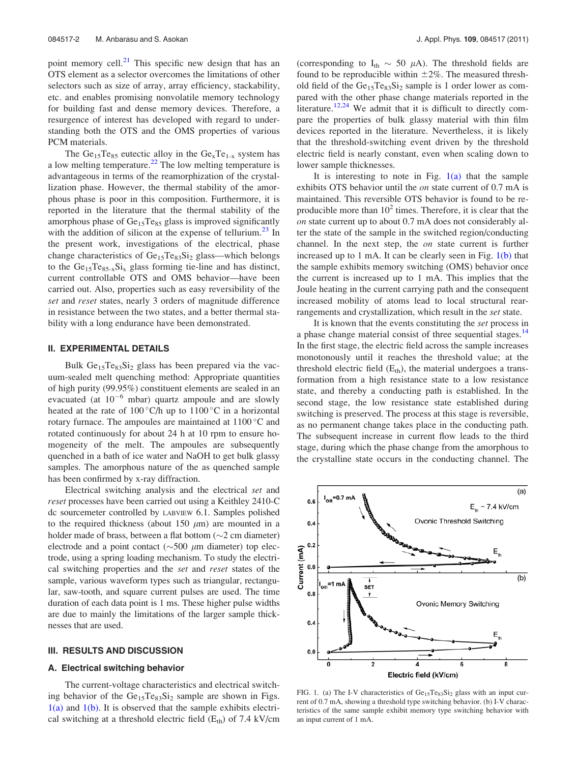point memory cell.<sup>21</sup> This specific new design that has an OTS element as a selector overcomes the limitations of other selectors such as size of array, array efficiency, stackability, etc. and enables promising nonvolatile memory technology for building fast and dense memory devices. Therefore, a resurgence of interest has developed with regard to understanding both the OTS and the OMS properties of various PCM materials.

The  $Ge_{15}Te_{85}$  eutectic alloy in the  $Ge_{x}Te_{1-x}$  system has a low melting temperature.<sup>22</sup> The low melting temperature is advantageous in terms of the reamorphization of the crystallization phase. However, the thermal stability of the amorphous phase is poor in this composition. Furthermore, it is reported in the literature that the thermal stability of the amorphous phase of  $Ge<sub>15</sub>Te<sub>85</sub>$  glass is improved significantly with the addition of silicon at the expense of tellurium. $^{23}$  In the present work, investigations of the electrical, phase change characteristics of  $Ge_{15}Te_{83}Si_2$  glass—which belongs to the  $Ge_{15}Te_{85-x}Si_x$  glass forming tie-line and has distinct, current controllable OTS and OMS behavior—have been carried out. Also, properties such as easy reversibility of the set and reset states, nearly 3 orders of magnitude difference in resistance between the two states, and a better thermal stability with a long endurance have been demonstrated.

# II. EXPERIMENTAL DETAILS

Bulk  $Ge<sub>15</sub>Te<sub>83</sub>Si<sub>2</sub>$  glass has been prepared via the vacuum-sealed melt quenching method: Appropriate quantities of high purity (99.95%) constituent elements are sealed in an evacuated (at  $10^{-6}$  mbar) quartz ampoule and are slowly heated at the rate of  $100^{\circ}$ C/h up to  $1100^{\circ}$ C in a horizontal rotary furnace. The ampoules are maintained at  $1100^{\circ}$ C and rotated continuously for about 24 h at 10 rpm to ensure homogeneity of the melt. The ampoules are subsequently quenched in a bath of ice water and NaOH to get bulk glassy samples. The amorphous nature of the as quenched sample has been confirmed by x-ray diffraction.

Electrical switching analysis and the electrical set and reset processes have been carried out using a Keithley 2410-C dc sourcemeter controlled by LABVIEW 6.1. Samples polished to the required thickness (about 150  $\mu$ m) are mounted in a holder made of brass, between a flat bottom  $(\sim 2 \text{ cm diameter})$ electrode and a point contact ( $\sim$ 500  $\mu$ m diameter) top electrode, using a spring loading mechanism. To study the electrical switching properties and the set and reset states of the sample, various waveform types such as triangular, rectangular, saw-tooth, and square current pulses are used. The time duration of each data point is 1 ms. These higher pulse widths are due to mainly the limitations of the larger sample thicknesses that are used.

## III. RESULTS AND DISCUSSION

#### A. Electrical switching behavior

The current-voltage characteristics and electrical switching behavior of the  $Ge_{15}Te_{83}Si_2$  sample are shown in Figs.  $1(a)$  and  $1(b)$ . It is observed that the sample exhibits electrical switching at a threshold electric field  $(E_{th})$  of 7.4 kV/cm (corresponding to  $I_{th} \sim 50 \mu A$ ). The threshold fields are found to be reproducible within  $\pm 2\%$ . The measured threshold field of the  $Ge<sub>15</sub>Te<sub>83</sub>Si<sub>2</sub>$  sample is 1 order lower as compared with the other phase change materials reported in the literature.<sup>12,24</sup> We admit that it is difficult to directly compare the properties of bulk glassy material with thin film devices reported in the literature. Nevertheless, it is likely that the threshold-switching event driven by the threshold electric field is nearly constant, even when scaling down to lower sample thicknesses.

It is interesting to note in Fig.  $1(a)$  that the sample exhibits OTS behavior until the *on* state current of 0.7 mA is maintained. This reversible OTS behavior is found to be reproducible more than  $10^2$  times. Therefore, it is clear that the on state current up to about 0.7 mA does not considerably alter the state of the sample in the switched region/conducting channel. In the next step, the on state current is further increased up to 1 mA. It can be clearly seen in Fig.  $1(b)$  that the sample exhibits memory switching (OMS) behavior once the current is increased up to 1 mA. This implies that the Joule heating in the current carrying path and the consequent increased mobility of atoms lead to local structural rearrangements and crystallization, which result in the set state.

It is known that the events constituting the set process in a phase change material consist of three sequential stages.<sup>14</sup> In the first stage, the electric field across the sample increases monotonously until it reaches the threshold value; at the threshold electric field  $(E<sub>th</sub>)$ , the material undergoes a transformation from a high resistance state to a low resistance state, and thereby a conducting path is established. In the second stage, the low resistance state established during switching is preserved. The process at this stage is reversible, as no permanent change takes place in the conducting path. The subsequent increase in current flow leads to the third stage, during which the phase change from the amorphous to the crystalline state occurs in the conducting channel. The



FIG. 1. (a) The I-V characteristics of  $Ge_{15}Te_{83}Si_2$  glass with an input current of 0.7 mA, showing a threshold type switching behavior. (b) I-V characteristics of the same sample exhibit memory type switching behavior with an input current of 1 mA.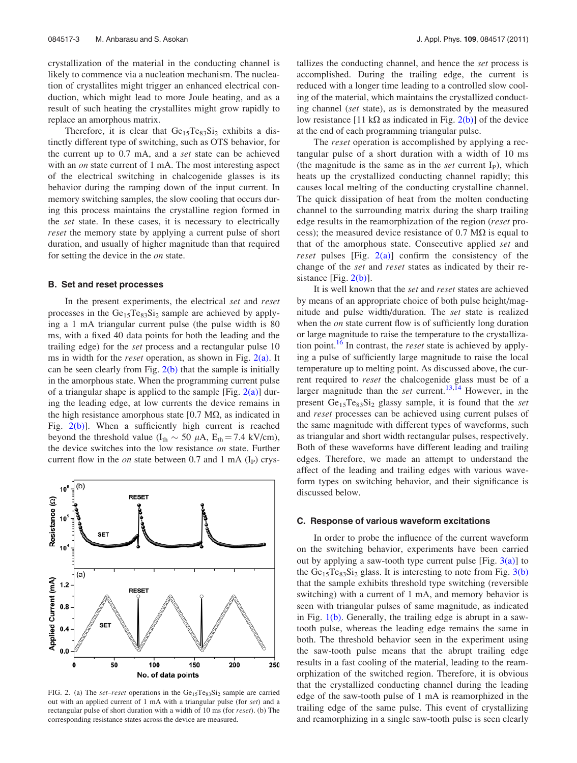crystallization of the material in the conducting channel is likely to commence via a nucleation mechanism. The nucleation of crystallites might trigger an enhanced electrical conduction, which might lead to more Joule heating, and as a result of such heating the crystallites might grow rapidly to replace an amorphous matrix.

Therefore, it is clear that  $Ge_{15}Te_{83}Si_2$  exhibits a distinctly different type of switching, such as OTS behavior, for the current up to 0.7 mA, and a set state can be achieved with an *on* state current of 1 mA. The most interesting aspect of the electrical switching in chalcogenide glasses is its behavior during the ramping down of the input current. In memory switching samples, the slow cooling that occurs during this process maintains the crystalline region formed in the set state. In these cases, it is necessary to electrically reset the memory state by applying a current pulse of short duration, and usually of higher magnitude than that required for setting the device in the *on* state.

## B. Set and reset processes

In the present experiments, the electrical set and reset processes in the  $Ge_{15}Te_{83}Si_2$  sample are achieved by applying a 1 mA triangular current pulse (the pulse width is 80 ms, with a fixed 40 data points for both the leading and the trailing edge) for the set process and a rectangular pulse 10 ms in width for the *reset* operation, as shown in Fig.  $2(a)$ . It can be seen clearly from Fig.  $2(b)$  that the sample is initially in the amorphous state. When the programming current pulse of a triangular shape is applied to the sample [Fig.  $2(a)$ ] during the leading edge, at low currents the device remains in the high resistance amorphous state  $[0.7 \text{ M}\Omega]$ , as indicated in Fig.  $2(b)$ ]. When a sufficiently high current is reached beyond the threshold value ( $I_{th} \sim 50 \mu A$ ,  $E_{th} = 7.4 \text{ kV/cm}$ ), the device switches into the low resistance on state. Further current flow in the *on* state between 0.7 and 1 mA  $(I<sub>P</sub>)$  crys-



FIG. 2. (a) The set-reset operations in the  $Ge<sub>15</sub>Te<sub>83</sub>Si<sub>2</sub>$  sample are carried out with an applied current of 1 mA with a triangular pulse (for set) and a rectangular pulse of short duration with a width of 10 ms (for reset). (b) The corresponding resistance states across the device are measured.

tallizes the conducting channel, and hence the set process is accomplished. During the trailing edge, the current is reduced with a longer time leading to a controlled slow cooling of the material, which maintains the crystallized conducting channel (set state), as is demonstrated by the measured low resistance [11 k $\Omega$  as indicated in Fig. 2(b)] of the device at the end of each programming triangular pulse.

The reset operation is accomplished by applying a rectangular pulse of a short duration with a width of 10 ms (the magnitude is the same as in the *set* current  $I<sub>P</sub>$ ), which heats up the crystallized conducting channel rapidly; this causes local melting of the conducting crystalline channel. The quick dissipation of heat from the molten conducting channel to the surrounding matrix during the sharp trailing edge results in the reamorphization of the region (reset process); the measured device resistance of 0.7  $\text{M}\Omega$  is equal to that of the amorphous state. Consecutive applied set and reset pulses [Fig.  $2(a)$ ] confirm the consistency of the change of the set and reset states as indicated by their resistance  $[Fig. 2(b)].$ 

It is well known that the set and reset states are achieved by means of an appropriate choice of both pulse height/magnitude and pulse width/duration. The set state is realized when the *on* state current flow is of sufficiently long duration or large magnitude to raise the temperature to the crystallization point.<sup>16</sup> In contrast, the *reset* state is achieved by applying a pulse of sufficiently large magnitude to raise the local temperature up to melting point. As discussed above, the current required to reset the chalcogenide glass must be of a larger magnitude than the set current.<sup>13,14</sup> However, in the present  $Ge_{15}Te_{83}Si_2$  glassy sample, it is found that the set and reset processes can be achieved using current pulses of the same magnitude with different types of waveforms, such as triangular and short width rectangular pulses, respectively. Both of these waveforms have different leading and trailing edges. Therefore, we made an attempt to understand the affect of the leading and trailing edges with various waveform types on switching behavior, and their significance is discussed below.

## C. Response of various waveform excitations

In order to probe the influence of the current waveform on the switching behavior, experiments have been carried out by applying a saw-tooth type current pulse [Fig.  $3(a)$ ] to the  $Ge_{15}Te_{83}Si_2$  glass. It is interesting to note from Fig.  $3(b)$ that the sample exhibits threshold type switching (reversible switching) with a current of 1 mA, and memory behavior is seen with triangular pulses of same magnitude, as indicated in Fig. 1(b). Generally, the trailing edge is abrupt in a sawtooth pulse, whereas the leading edge remains the same in both. The threshold behavior seen in the experiment using the saw-tooth pulse means that the abrupt trailing edge results in a fast cooling of the material, leading to the reamorphization of the switched region. Therefore, it is obvious that the crystallized conducting channel during the leading edge of the saw-tooth pulse of 1 mA is reamorphized in the trailing edge of the same pulse. This event of crystallizing and reamorphizing in a single saw-tooth pulse is seen clearly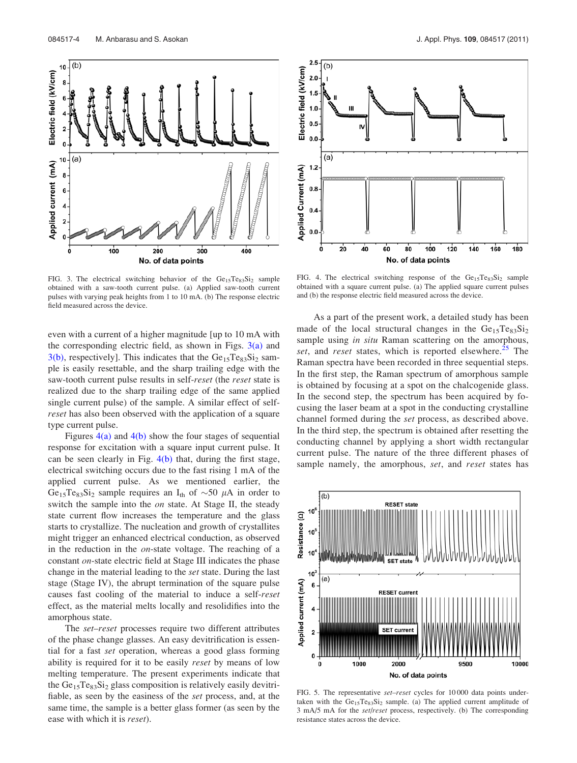100

 $10\sqrt{(b)}$ 

Electric field (kV/cm)

Applied current (mA)

 $\overline{a}$ 

6

 $(a)$ 10

FIG. 3. The electrical switching behavior of the  $Ge_{15}Te_{83}Si_2$  sample obtained with a saw-tooth current pulse. (a) Applied saw-tooth current pulses with varying peak heights from 1 to 10 mA. (b) The response electric field measured across the device.

No. of data points

200

300

400

even with a current of a higher magnitude [up to 10 mA with the corresponding electric field, as shown in Figs.  $3(a)$  and  $3(b)$ , respectively]. This indicates that the  $Ge_{15}Te_{83}Si_2$  sample is easily resettable, and the sharp trailing edge with the saw-tooth current pulse results in self-reset (the reset state is realized due to the sharp trailing edge of the same applied single current pulse) of the sample. A similar effect of self*reset* has also been observed with the application of a square type current pulse.

Figures  $4(a)$  and  $4(b)$  show the four stages of sequential response for excitation with a square input current pulse. It can be seen clearly in Fig.  $4(b)$  that, during the first stage, electrical switching occurs due to the fast rising 1 mA of the applied current pulse. As we mentioned earlier, the Ge<sub>15</sub>Te<sub>83</sub>Si<sub>2</sub> sample requires an I<sub>th</sub> of  $\sim$ 50  $\mu$ A in order to switch the sample into the *on* state. At Stage II, the steady state current flow increases the temperature and the glass starts to crystallize. The nucleation and growth of crystallites might trigger an enhanced electrical conduction, as observed in the reduction in the on-state voltage. The reaching of a constant on-state electric field at Stage III indicates the phase change in the material leading to the set state. During the last stage (Stage IV), the abrupt termination of the square pulse causes fast cooling of the material to induce a self-reset effect, as the material melts locally and resolidifies into the amorphous state.

The set–reset processes require two different attributes of the phase change glasses. An easy devitrification is essential for a fast set operation, whereas a good glass forming ability is required for it to be easily *reset* by means of low melting temperature. The present experiments indicate that the  $Ge_{15}Te_{83}Si_2$  glass composition is relatively easily devitrifiable, as seen by the easiness of the set process, and, at the same time, the sample is a better glass former (as seen by the ease with which it is *reset*).



FIG. 4. The electrical switching response of the  $Ge<sub>15</sub>Te<sub>83</sub>Si<sub>2</sub>$  sample obtained with a square current pulse. (a) The applied square current pulses and (b) the response electric field measured across the device.

As a part of the present work, a detailed study has been made of the local structural changes in the  $Ge_{15}Te_{83}Si_2$ sample using *in situ* Raman scattering on the amorphous, set, and reset states, which is reported elsewhere.<sup>25</sup> The Raman spectra have been recorded in three sequential steps. In the first step, the Raman spectrum of amorphous sample is obtained by focusing at a spot on the chalcogenide glass. In the second step, the spectrum has been acquired by focusing the laser beam at a spot in the conducting crystalline channel formed during the set process, as described above. In the third step, the spectrum is obtained after resetting the conducting channel by applying a short width rectangular current pulse. The nature of the three different phases of sample namely, the amorphous, set, and reset states has



FIG. 5. The representative set-reset cycles for 10 000 data points undertaken with the  $Ge_{15}Te_{83}Si_2$  sample. (a) The applied current amplitude of 3 mA/5 mA for the set/reset process, respectively. (b) The corresponding resistance states across the device.